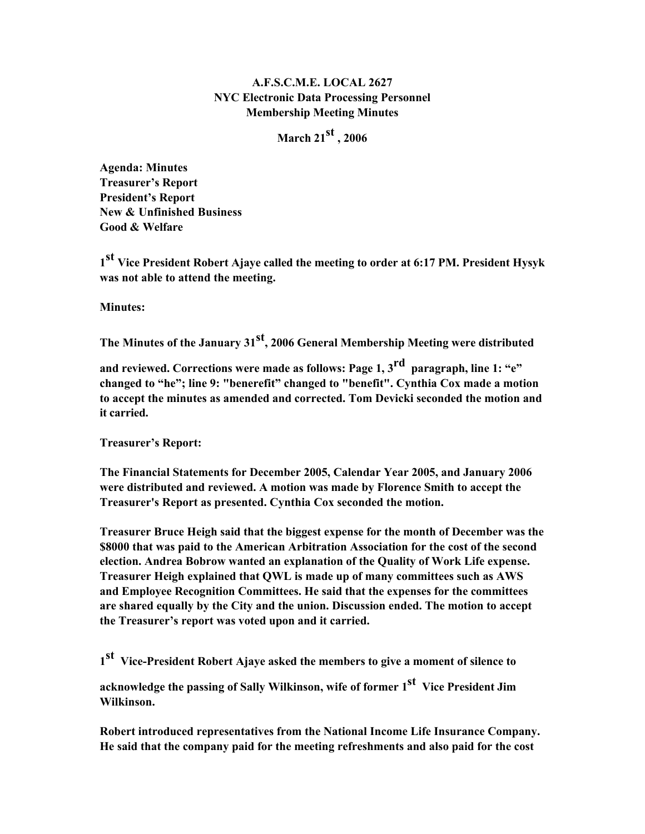## A.F.S.C.M.E. LOCAL 2627 NYC Electronic Data Processing Personnel Membership Meeting Minutes

March 21 $^{\rm{st}}$  , 2006

Agenda: Minutes Treasurer's Report President's Report New & Unfinished Business Good & Welfare

1<sup>st</sup> Vice President Robert Ajaye called the meeting to order at 6:17 PM. President Hysyk was not able to attend the meeting.

Minutes:

The Minutes of the January 31 $^{\rm st}$ , 2006 General Membership Meeting were distributed

and reviewed. Corrections were made as follows: Page 1,  $\boldsymbol{\mathrm{3}^{\text{rd}}}$  paragraph, line 1: "e" changed to "he"; line 9: "benerefit" changed to "benefit". Cynthia Cox made a motion to accept the minutes as amended and corrected. Tom Devicki seconded the motion and it carried.

Treasurer's Report:

The Financial Statements for December 2005, Calendar Year 2005, and January 2006 were distributed and reviewed. A motion was made by Florence Smith to accept the Treasurer's Report as presented. Cynthia Cox seconded the motion.

Treasurer Bruce Heigh said that the biggest expense for the month of December was the \$8000 that was paid to the American Arbitration Association for the cost of the second election. Andrea Bobrow wanted an explanation of the Quality of Work Life expense. Treasurer Heigh explained that QWL is made up of many committees such as AWS and Employee Recognition Committees. He said that the expenses for the committees are shared equally by the City and the union. Discussion ended. The motion to accept the Treasurer's report was voted upon and it carried.

1<sup>st</sup> Vice-President Robert Ajaye asked the members to give a moment of silence to

acknowledge the passing of Sally Wilkinson, wife of former 1<sup>st</sup> Vice President Jim Wilkinson.

Robert introduced representatives from the National Income Life Insurance Company. He said that the company paid for the meeting refreshments and also paid for the cost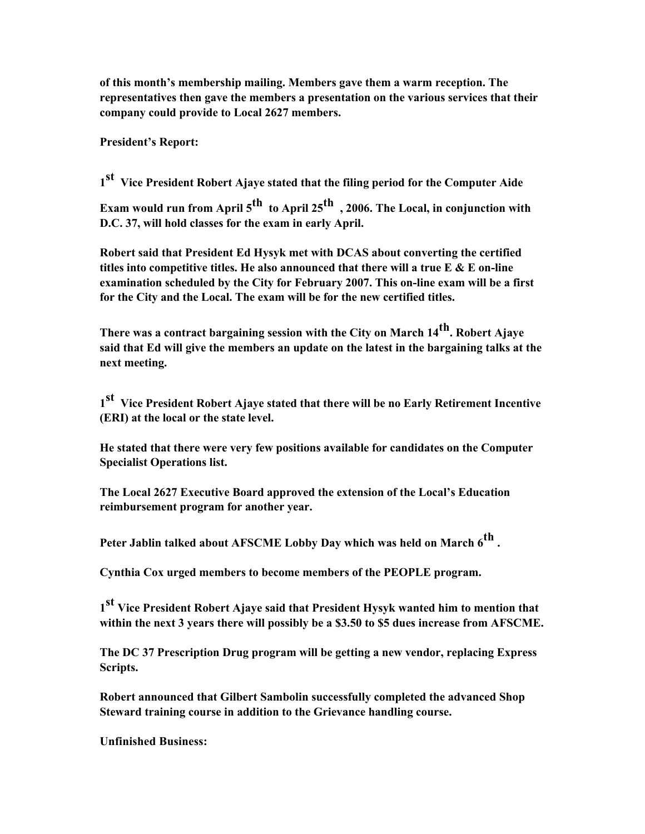of this month's membership mailing. Members gave them a warm reception. The representatives then gave the members a presentation on the various services that their company could provide to Local 2627 members.

President's Report:

1st Vice President Robert Ajaye stated that the filing period for the Computer Aide

Exam would run from April 5<sup>th</sup> to April 25<sup>th</sup> , 2006. The Local, in conjunction with D.C. 37, will hold classes for the exam in early April.

Robert said that President Ed Hysyk met with DCAS about converting the certified titles into competitive titles. He also announced that there will a true  $E \& E$  on-line examination scheduled by the City for February 2007. This on-line exam will be a first for the City and the Local. The exam will be for the new certified titles.

There was a contract bargaining session with the City on March 14<sup>th</sup>. Robert Ajave said that Ed will give the members an update on the latest in the bargaining talks at the next meeting.

1st Vice President Robert Ajave stated that there will be no Early Retirement Incentive (ERI) at the local or the state level.

He stated that there were very few positions available for candidates on the Computer Specialist Operations list.

The Local 2627 Executive Board approved the extension of the Local's Education reimbursement program for another year.

Peter Jablin talked about AFSCME Lobby Day which was held on March 6<sup>th</sup>.

Cynthia Cox urged members to become members of the PEOPLE program.

 $1^{\textbf{st}}$  Vice President Robert Ajaye said that President Hysyk wanted him to mention that within the next 3 years there will possibly be a \$3.50 to \$5 dues increase from AFSCME.

The DC 37 Prescription Drug program will be getting a new vendor, replacing Express Scripts.

Robert announced that Gilbert Sambolin successfully completed the advanced Shop Steward training course in addition to the Grievance handling course.

Unfinished Business: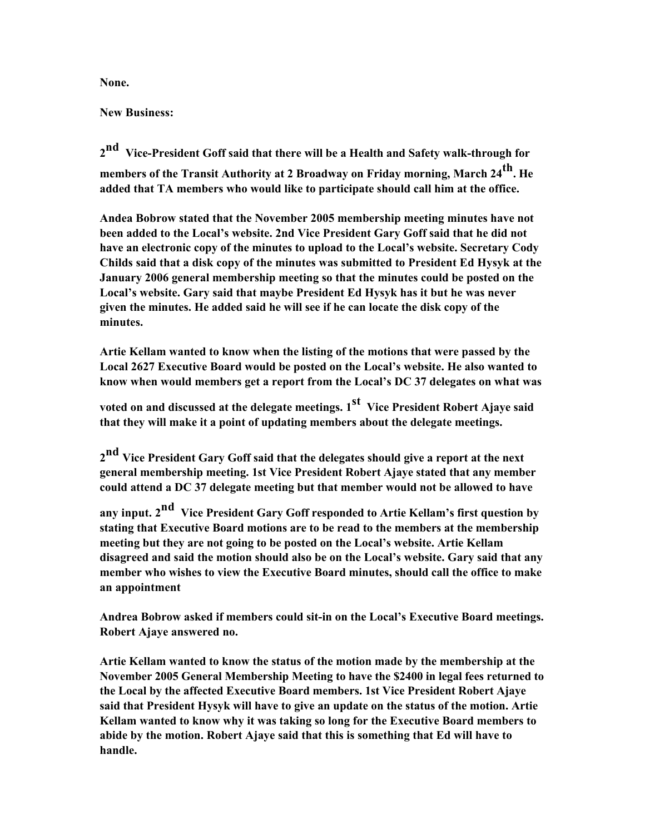None.

New Business:

2<sup>nd</sup> Vice-President Goff said that there will be a Health and Safety walk-through for members of the Transit Authority at 2 Broadway on Friday morning, March 24<sup>th</sup>. He added that TA members who would like to participate should call him at the office.

Andea Bobrow stated that the November 2005 membership meeting minutes have not been added to the Local's website. 2nd Vice President Gary Goff said that he did not have an electronic copy of the minutes to upload to the Local's website. Secretary Cody Childs said that a disk copy of the minutes was submitted to President Ed Hysyk at the January 2006 general membership meeting so that the minutes could be posted on the Local's website. Gary said that maybe President Ed Hysyk has it but he was never given the minutes. He added said he will see if he can locate the disk copy of the minutes.

Artie Kellam wanted to know when the listing of the motions that were passed by the Local 2627 Executive Board would be posted on the Local's website. He also wanted to know when would members get a report from the Local's DC 37 delegates on what was

voted on and discussed at the delegate meetings. 1<sup>st</sup> Vice President Robert Ajaye said that they will make it a point of updating members about the delegate meetings.

2<sup>nd</sup> Vice President Gary Goff said that the delegates should give a report at the next general membership meeting. 1st Vice President Robert Ajaye stated that any member could attend a DC 37 delegate meeting but that member would not be allowed to have

any input. 2<sup>nd</sup> Vice President Gary Goff responded to Artie Kellam's first question by stating that Executive Board motions are to be read to the members at the membership meeting but they are not going to be posted on the Local's website. Artie Kellam disagreed and said the motion should also be on the Local's website. Gary said that any member who wishes to view the Executive Board minutes, should call the office to make an appointment

Andrea Bobrow asked if members could sit-in on the Local's Executive Board meetings. Robert Ajaye answered no.

Artie Kellam wanted to know the status of the motion made by the membership at the November 2005 General Membership Meeting to have the \$2400 in legal fees returned to the Local by the affected Executive Board members. 1st Vice President Robert Ajaye said that President Hysyk will have to give an update on the status of the motion. Artie Kellam wanted to know why it was taking so long for the Executive Board members to abide by the motion. Robert Ajaye said that this is something that Ed will have to handle.